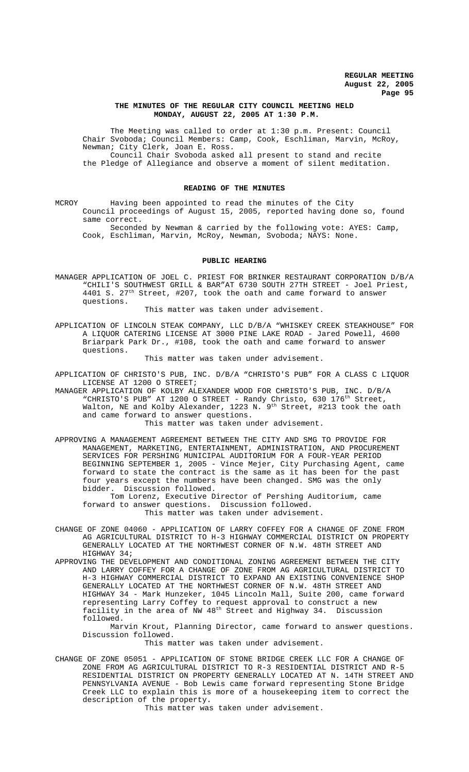# **THE MINUTES OF THE REGULAR CITY COUNCIL MEETING HELD MONDAY, AUGUST 22, 2005 AT 1:30 P.M.**

The Meeting was called to order at 1:30 p.m. Present: Council Chair Svoboda; Council Members: Camp, Cook, Eschliman, Marvin, McRoy, Newman; City Clerk, Joan E. Ross. Council Chair Svoboda asked all present to stand and recite

the Pledge of Allegiance and observe a moment of silent meditation.

#### **READING OF THE MINUTES**

MCROY Having been appointed to read the minutes of the City Council proceedings of August 15, 2005, reported having done so, found same correct.

Seconded by Newman & carried by the following vote: AYES: Camp, Cook, Eschliman, Marvin, McRoy, Newman, Svoboda; NAYS: None.

# **PUBLIC HEARING**

MANAGER APPLICATION OF JOEL C. PRIEST FOR BRINKER RESTAURANT CORPORATION D/B/A "CHILI'S SOUTHWEST GRILL & BAR"AT 6730 SOUTH 27TH STREET - Joel Priest, 4401 S. 27<sup>th</sup> Street, #207, took the oath and came forward to answer questions.

This matter was taken under advisement.

APPLICATION OF LINCOLN STEAK COMPANY, LLC D/B/A "WHISKEY CREEK STEAKHOUSE" FOR A LIQUOR CATERING LICENSE AT 3000 PINE LAKE ROAD - Jared Powell, 4600 Briarpark Park Dr., #108, took the oath and came forward to answer questions.

This matter was taken under advisement.

APPLICATION OF CHRISTO'S PUB, INC. D/B/A "CHRISTO'S PUB" FOR A CLASS C LIQUOR LICENSE AT 1200 O STREET;

MANAGER APPLICATION OF KOLBY ALEXANDER WOOD FOR CHRISTO'S PUB, INC. D/B/A "CHRISTO'S PUB" AT 1200 O STREET - Randy Christo, 630 176<sup>th</sup> Street, Walton, NE and Kolby Alexander, 1223 N. 9<sup>th</sup> Street, #213 took the oath and came forward to answer questions.

This matter was taken under advisement.

APPROVING A MANAGEMENT AGREEMENT BETWEEN THE CITY AND SMG TO PROVIDE FOR MANAGEMENT, MARKETING, ENTERTAINMENT, ADMINISTRATION, AND PROCUREMENT SERVICES FOR PERSHING MUNICIPAL AUDITORIUM FOR A FOUR-YEAR PERIOD BEGINNING SEPTEMBER 1, 2005 - Vince Mejer, City Purchasing Agent, came forward to state the contract is the same as it has been for the past four years except the numbers have been changed. SMG was the only bidder. Discussion followed.

Tom Lorenz, Executive Director of Pershing Auditorium, came forward to answer questions. Discussion followed. This matter was taken under advisement.

CHANGE OF ZONE 04060 - APPLICATION OF LARRY COFFEY FOR A CHANGE OF ZONE FROM AG AGRICULTURAL DISTRICT TO H-3 HIGHWAY COMMERCIAL DISTRICT ON PROPERTY GENERALLY LOCATED AT THE NORTHWEST CORNER OF N.W. 48TH STREET AND HIGHWAY 34;

APPROVING THE DEVELOPMENT AND CONDITIONAL ZONING AGREEMENT BETWEEN THE CITY AND LARRY COFFEY FOR A CHANGE OF ZONE FROM AG AGRICULTURAL DISTRICT TO H-3 HIGHWAY COMMERCIAL DISTRICT TO EXPAND AN EXISTING CONVENIENCE SHOP GENERALLY LOCATED AT THE NORTHWEST CORNER OF N.W. 48TH STREET AND HIGHWAY 34 - Mark Hunzeker, 1045 Lincoln Mall, Suite 200, came forward representing Larry Coffey to request approval to construct a new facility in the area of NW 48th Street and Highway 34. Discussion followed.

Marvin Krout, Planning Director, came forward to answer questions. Discussion followed.

This matter was taken under advisement.

CHANGE OF ZONE 05051 - APPLICATION OF STONE BRIDGE CREEK LLC FOR A CHANGE OF ZONE FROM AG AGRICULTURAL DISTRICT TO R-3 RESIDENTIAL DISTRICT AND R-5 RESIDENTIAL DISTRICT ON PROPERTY GENERALLY LOCATED AT N. 14TH STREET AND PENNSYLVANIA AVENUE - Bob Lewis came forward representing Stone Bridge Creek LLC to explain this is more of a housekeeping item to correct the description of the property.

This matter was taken under advisement.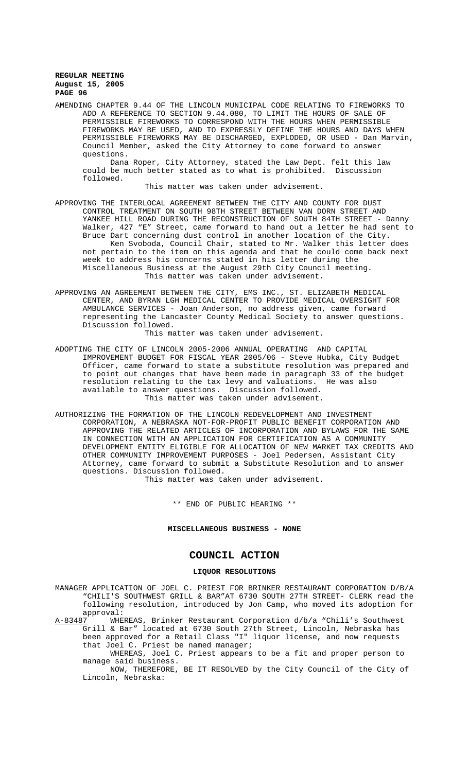AMENDING CHAPTER 9.44 OF THE LINCOLN MUNICIPAL CODE RELATING TO FIREWORKS TO ADD A REFERENCE TO SECTION 9.44.080, TO LIMIT THE HOURS OF SALE OF PERMISSIBLE FIREWORKS TO CORRESPOND WITH THE HOURS WHEN PERMISSIBLE FIREWORKS MAY BE USED, AND TO EXPRESSLY DEFINE THE HOURS AND DAYS WHEN PERMISSIBLE FIREWORKS MAY BE DISCHARGED, EXPLODED, OR USED - Dan Marvin, Council Member, asked the City Attorney to come forward to answer questions.

Dana Roper, City Attorney, stated the Law Dept. felt this law could be much better stated as to what is prohibited. Discussion followed.

This matter was taken under advisement.

- APPROVING THE INTERLOCAL AGREEMENT BETWEEN THE CITY AND COUNTY FOR DUST CONTROL TREATMENT ON SOUTH 98TH STREET BETWEEN VAN DORN STREET AND YANKEE HILL ROAD DURING THE RECONSTRUCTION OF SOUTH 84TH STREET - Danny Walker, 427 "E" Street, came forward to hand out a letter he had sent to Bruce Dart concerning dust control in another location of the City. Ken Svoboda, Council Chair, stated to Mr. Walker this letter does not pertain to the item on this agenda and that he could come back next week to address his concerns stated in his letter during the Miscellaneous Business at the August 29th City Council meeting. This matter was taken under advisement.
- APPROVING AN AGREEMENT BETWEEN THE CITY, EMS INC., ST. ELIZABETH MEDICAL CENTER, AND BYRAN LGH MEDICAL CENTER TO PROVIDE MEDICAL OVERSIGHT FOR AMBULANCE SERVICES - Joan Anderson, no address given, came forward representing the Lancaster County Medical Society to answer questions. Discussion followed.

This matter was taken under advisement.

- ADOPTING THE CITY OF LINCOLN 2005-2006 ANNUAL OPERATING AND CAPITAL IMPROVEMENT BUDGET FOR FISCAL YEAR 2005/06 - Steve Hubka, City Budget Officer, came forward to state a substitute resolution was prepared and to point out changes that have been made in paragraph 33 of the budget resolution relating to the tax levy and valuations. He was also available to answer questions. Discussion followed. This matter was taken under advisement.
- AUTHORIZING THE FORMATION OF THE LINCOLN REDEVELOPMENT AND INVESTMENT CORPORATION, A NEBRASKA NOT-FOR-PROFIT PUBLIC BENEFIT CORPORATION AND APPROVING THE RELATED ARTICLES OF INCORPORATION AND BYLAWS FOR THE SAME IN CONNECTION WITH AN APPLICATION FOR CERTIFICATION AS A COMMUNITY DEVELOPMENT ENTITY ELIGIBLE FOR ALLOCATION OF NEW MARKET TAX CREDITS AND OTHER COMMUNITY IMPROVEMENT PURPOSES - Joel Pedersen, Assistant City Attorney, came forward to submit a Substitute Resolution and to answer questions. Discussion followed.

This matter was taken under advisement.

\*\* END OF PUBLIC HEARING \*\*

#### **MISCELLANEOUS BUSINESS - NONE**

# **COUNCIL ACTION**

#### **LIQUOR RESOLUTIONS**

MANAGER APPLICATION OF JOEL C. PRIEST FOR BRINKER RESTAURANT CORPORATION D/B/A "CHILI'S SOUTHWEST GRILL & BAR"AT 6730 SOUTH 27TH STREET- CLERK read the following resolution, introduced by Jon Camp, who moved its adoption for approval:<br>A-83487 WHE

WHEREAS, Brinker Restaurant Corporation d/b/a "Chili's Southwest Grill & Bar" located at 6730 South 27th Street, Lincoln, Nebraska has been approved for a Retail Class "I" liquor license, and now requests that Joel C. Priest be named manager;

WHEREAS, Joel C. Priest appears to be a fit and proper person to manage said business.

NOW, THEREFORE, BE IT RESOLVED by the City Council of the City of Lincoln, Nebraska: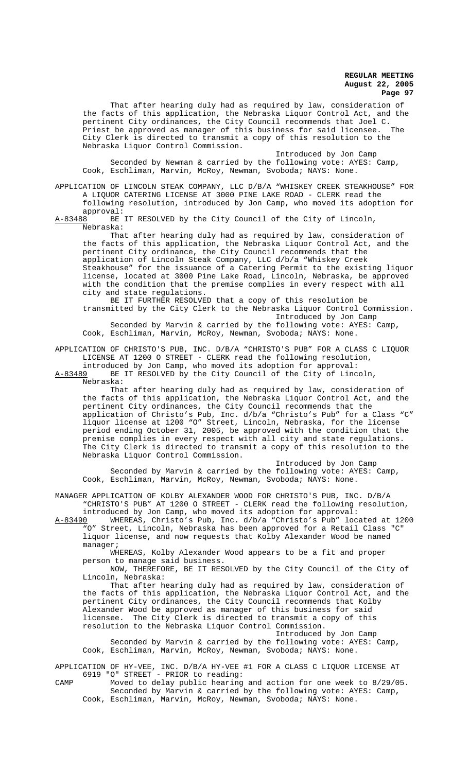That after hearing duly had as required by law, consideration of the facts of this application, the Nebraska Liquor Control Act, and the pertinent City ordinances, the City Council recommends that Joel C.<br>Priest be approved as manager of this business for said licensee. The Priest be approved as manager of this business for said licensee. City Clerk is directed to transmit a copy of this resolution to the Nebraska Liquor Control Commission.

Introduced by Jon Camp Seconded by Newman & carried by the following vote: AYES: Camp, Cook, Eschliman, Marvin, McRoy, Newman, Svoboda; NAYS: None.

APPLICATION OF LINCOLN STEAK COMPANY, LLC D/B/A "WHISKEY CREEK STEAKHOUSE" FOR A LIQUOR CATERING LICENSE AT 3000 PINE LAKE ROAD - CLERK read the following resolution, introduced by Jon Camp, who moved its adoption for

approval:<br><u>A-83488</u> BE BE IT RESOLVED by the City Council of the City of Lincoln, Nebraska:

That after hearing duly had as required by law, consideration of the facts of this application, the Nebraska Liquor Control Act, and the pertinent City ordinance, the City Council recommends that the application of Lincoln Steak Company, LLC d/b/a "Whiskey Creek Steakhouse" for the issuance of a Catering Permit to the existing liquor license, located at 3000 Pine Lake Road, Lincoln, Nebraska, be approved with the condition that the premise complies in every respect with all city and state regulations.

BE IT FURTHER RESOLVED that a copy of this resolution be transmitted by the City Clerk to the Nebraska Liquor Control Commission. Introduced by Jon Camp

Seconded by Marvin & carried by the following vote: AYES: Camp, Cook, Eschliman, Marvin, McRoy, Newman, Svoboda; NAYS: None.

APPLICATION OF CHRISTO'S PUB, INC. D/B/A "CHRISTO'S PUB" FOR A CLASS C LIQUOR LICENSE AT 1200 O STREET - CLERK read the following resolution, introduced by Jon Camp, who moved its adoption for approval:

A-83489 BE IT RESOLVED by the City Council of the City of Lincoln,

Nebraska:

That after hearing duly had as required by law, consideration of the facts of this application, the Nebraska Liquor Control Act, and the pertinent City ordinances, the City Council recommends that the application of Christo's Pub, Inc. d/b/a "Christo's Pub" for a Class "C" liquor license at 1200 "O" Street, Lincoln, Nebraska, for the license period ending October 31, 2005, be approved with the condition that the premise complies in every respect with all city and state regulations. The City Clerk is directed to transmit a copy of this resolution to the Nebraska Liquor Control Commission.

Introduced by Jon Camp Seconded by Marvin & carried by the following vote: AYES: Camp, Cook, Eschliman, Marvin, McRoy, Newman, Svoboda; NAYS: None.

MANAGER APPLICATION OF KOLBY ALEXANDER WOOD FOR CHRISTO'S PUB, INC. D/B/A "CHRISTO'S PUB" AT 1200 O STREET - CLERK read the following resolution,

introduced by Jon Camp, who moved its adoption for approval:<br>A-83490 WHEREAS, Christo's Pub, Inc. d/b/a "Christo's Pub" loc A-83490 WHEREAS, Christo's Pub, Inc. d/b/a "Christo's Pub" located at 1200 "O" Street, Lincoln, Nebraska has been approved for a Retail Class "C" liquor license, and now requests that Kolby Alexander Wood be named manager;

WHEREAS, Kolby Alexander Wood appears to be a fit and proper person to manage said business.

NOW, THEREFORE, BE IT RESOLVED by the City Council of the City of Lincoln, Nebraska:

That after hearing duly had as required by law, consideration of the facts of this application, the Nebraska Liquor Control Act, and the pertinent City ordinances, the City Council recommends that Kolby Alexander Wood be approved as manager of this business for said licensee. The City Clerk is directed to transmit a copy of this resolution to the Nebraska Liquor Control Commission.

Introduced by Jon Camp Seconded by Marvin & carried by the following vote: AYES: Camp, Cook, Eschliman, Marvin, McRoy, Newman, Svoboda; NAYS: None.

APPLICATION OF HY-VEE, INC. D/B/A HY-VEE #1 FOR A CLASS C LIQUOR LICENSE AT 6919 "O" STREET - PRIOR to reading:

CAMP Moved to delay public hearing and action for one week to 8/29/05. Seconded by Marvin & carried by the following vote: AYES: Camp, Cook, Eschliman, Marvin, McRoy, Newman, Svoboda; NAYS: None.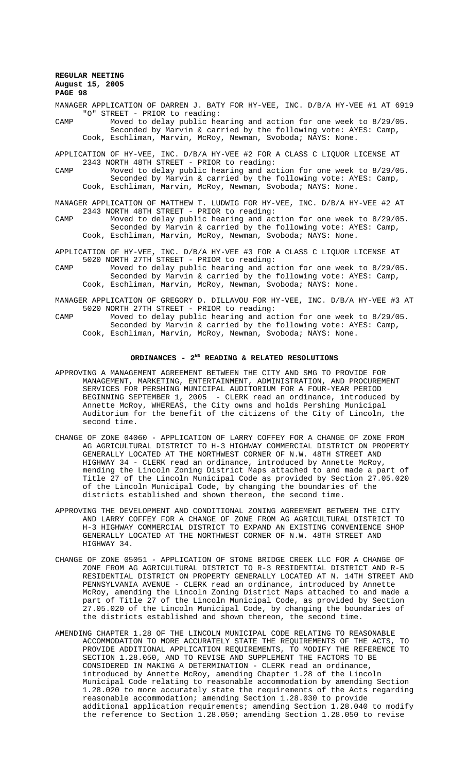MANAGER APPLICATION OF DARREN J. BATY FOR HY-VEE, INC. D/B/A HY-VEE #1 AT 6919 "O" STREET - PRIOR to reading:

CAMP Moved to delay public hearing and action for one week to 8/29/05. Seconded by Marvin & carried by the following vote: AYES: Camp, Cook, Eschliman, Marvin, McRoy, Newman, Svoboda; NAYS: None.

APPLICATION OF HY-VEE, INC. D/B/A HY-VEE #2 FOR A CLASS C LIQUOR LICENSE AT 2343 NORTH 48TH STREET - PRIOR to reading:

CAMP Moved to delay public hearing and action for one week to 8/29/05. Seconded by Marvin & carried by the following vote: AYES: Camp, Cook, Eschliman, Marvin, McRoy, Newman, Svoboda; NAYS: None.

MANAGER APPLICATION OF MATTHEW T. LUDWIG FOR HY-VEE, INC. D/B/A HY-VEE #2 AT 2343 NORTH 48TH STREET - PRIOR to reading:

CAMP Moved to delay public hearing and action for one week to 8/29/05. Seconded by Marvin & carried by the following vote: AYES: Camp, Cook, Eschliman, Marvin, McRoy, Newman, Svoboda; NAYS: None.

APPLICATION OF HY-VEE, INC. D/B/A HY-VEE #3 FOR A CLASS C LIQUOR LICENSE AT 5020 NORTH 27TH STREET - PRIOR to reading:

CAMP Moved to delay public hearing and action for one week to 8/29/05. Seconded by Marvin & carried by the following vote: AYES: Camp, Cook, Eschliman, Marvin, McRoy, Newman, Svoboda; NAYS: None.

MANAGER APPLICATION OF GREGORY D. DILLAVOU FOR HY-VEE, INC. D/B/A HY-VEE #3 AT 5020 NORTH 27TH STREET - PRIOR to reading:

CAMP Moved to delay public hearing and action for one week to 8/29/05. Seconded by Marvin & carried by the following vote: AYES: Camp, Cook, Eschliman, Marvin, McRoy, Newman, Svoboda; NAYS: None.

#### **ORDINANCES - 2ND READING & RELATED RESOLUTIONS**

- APPROVING A MANAGEMENT AGREEMENT BETWEEN THE CITY AND SMG TO PROVIDE FOR MANAGEMENT, MARKETING, ENTERTAINMENT, ADMINISTRATION, AND PROCUREMENT SERVICES FOR PERSHING MUNICIPAL AUDITORIUM FOR A FOUR-YEAR PERIOD BEGINNING SEPTEMBER 1, 2005 - CLERK read an ordinance, introduced by Annette McRoy, WHEREAS, the City owns and holds Pershing Municipal Auditorium for the benefit of the citizens of the City of Lincoln, the second time.
- CHANGE OF ZONE 04060 APPLICATION OF LARRY COFFEY FOR A CHANGE OF ZONE FROM AG AGRICULTURAL DISTRICT TO H-3 HIGHWAY COMMERCIAL DISTRICT ON PROPERTY GENERALLY LOCATED AT THE NORTHWEST CORNER OF N.W. 48TH STREET AND HIGHWAY 34 - CLERK read an ordinance, introduced by Annette McRoy, mending the Lincoln Zoning District Maps attached to and made a part of Title 27 of the Lincoln Municipal Code as provided by Section 27.05.020 of the Lincoln Municipal Code, by changing the boundaries of the districts established and shown thereon, the second time.
- APPROVING THE DEVELOPMENT AND CONDITIONAL ZONING AGREEMENT BETWEEN THE CITY AND LARRY COFFEY FOR A CHANGE OF ZONE FROM AG AGRICULTURAL DISTRICT TO H-3 HIGHWAY COMMERCIAL DISTRICT TO EXPAND AN EXISTING CONVENIENCE SHOP GENERALLY LOCATED AT THE NORTHWEST CORNER OF N.W. 48TH STREET AND HIGHWAY 34.
- CHANGE OF ZONE 05051 APPLICATION OF STONE BRIDGE CREEK LLC FOR A CHANGE OF ZONE FROM AG AGRICULTURAL DISTRICT TO R-3 RESIDENTIAL DISTRICT AND R-5 RESIDENTIAL DISTRICT ON PROPERTY GENERALLY LOCATED AT N. 14TH STREET AND PENNSYLVANIA AVENUE - CLERK read an ordinance, introduced by Annette McRoy, amending the Lincoln Zoning District Maps attached to and made a part of Title 27 of the Lincoln Municipal Code, as provided by Section 27.05.020 of the Lincoln Municipal Code, by changing the boundaries of the districts established and shown thereon, the second time.
- AMENDING CHAPTER 1.28 OF THE LINCOLN MUNICIPAL CODE RELATING TO REASONABLE ACCOMMODATION TO MORE ACCURATELY STATE THE REQUIREMENTS OF THE ACTS, TO PROVIDE ADDITIONAL APPLICATION REQUIREMENTS, TO MODIFY THE REFERENCE TO SECTION 1.28.050, AND TO REVISE AND SUPPLEMENT THE FACTORS TO BE CONSIDERED IN MAKING A DETERMINATION - CLERK read an ordinance, introduced by Annette McRoy, amending Chapter 1.28 of the Lincoln Municipal Code relating to reasonable accommodation by amending Section 1.28.020 to more accurately state the requirements of the Acts regarding reasonable accommodation; amending Section 1.28.030 to provide additional application requirements; amending Section 1.28.040 to modify the reference to Section 1.28.050; amending Section 1.28.050 to revise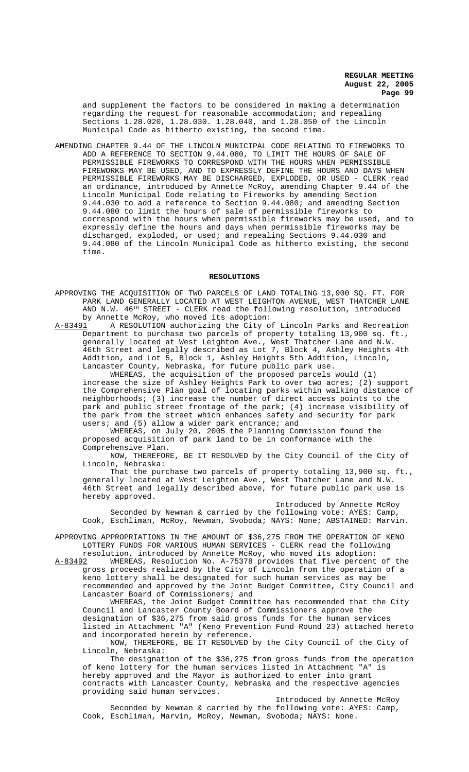and supplement the factors to be considered in making a determination regarding the request for reasonable accommodation; and repealing Sections 1.28.020, 1.28.030. 1.28.040, and 1.28.050 of the Lincoln Municipal Code as hitherto existing, the second time.

AMENDING CHAPTER 9.44 OF THE LINCOLN MUNICIPAL CODE RELATING TO FIREWORKS TO ADD A REFERENCE TO SECTION 9.44.080, TO LIMIT THE HOURS OF SALE OF PERMISSIBLE FIREWORKS TO CORRESPOND WITH THE HOURS WHEN PERMISSIBLE FIREWORKS MAY BE USED, AND TO EXPRESSLY DEFINE THE HOURS AND DAYS WHEN PERMISSIBLE FIREWORKS MAY BE DISCHARGED, EXPLODED, OR USED - CLERK read an ordinance, introduced by Annette McRoy, amending Chapter 9.44 of the Lincoln Municipal Code relating to Fireworks by amending Section 9.44.030 to add a reference to Section 9.44.080; and amending Section 9.44.080 to limit the hours of sale of permissible fireworks to correspond with the hours when permissible fireworks may be used, and to expressly define the hours and days when permissible fireworks may be discharged, exploded, or used; and repealing Sections 9.44.030 and 9.44.080 of the Lincoln Municipal Code as hitherto existing, the second time.

#### **RESOLUTIONS**

- APPROVING THE ACQUISITION OF TWO PARCELS OF LAND TOTALING 13,900 SQ. FT. FOR PARK LAND GENERALLY LOCATED AT WEST LEIGHTON AVENUE, WEST THATCHER LANE AND N.W.  $46^{TH}$  STREET - CLERK read the following resolution, introduced
- by Annette McRoy, who moved its adoption:<br>A-83491 A RESOLUTION authorizing the City o A RESOLUTION authorizing the City of Lincoln Parks and Recreation Department to purchase two parcels of property totaling 13,900 sq. ft., generally located at West Leighton Ave., West Thatcher Lane and N.W. 46th Street and legally described as Lot 7, Block 4, Ashley Heights 4th Addition, and Lot 5, Block 1, Ashley Heights 5th Addition, Lincoln, Lancaster County, Nebraska, for future public park use.

WHEREAS, the acquisition of the proposed parcels would (1) increase the size of Ashley Heights Park to over two acres; (2) support the Comprehensive Plan goal of locating parks within walking distance of neighborhoods; (3) increase the number of direct access points to the park and public street frontage of the park; (4) increase visibility of the park from the street which enhances safety and security for park users; and (5) allow a wider park entrance; and

WHEREAS, on July 20, 2005 the Planning Commission found the proposed acquisition of park land to be in conformance with the Comprehensive Plan.

NOW, THEREFORE, BE IT RESOLVED by the City Council of the City of Lincoln, Nebraska:

That the purchase two parcels of property totaling 13,900 sq. ft., generally located at West Leighton Ave., West Thatcher Lane and N.W. 46th Street and legally described above, for future public park use is hereby approved.

Introduced by Annette McRoy Seconded by Newman & carried by the following vote: AYES: Camp, Cook, Eschliman, McRoy, Newman, Svoboda; NAYS: None; ABSTAINED: Marvin.

APPROVING APPROPRIATIONS IN THE AMOUNT OF \$36,275 FROM THE OPERATION OF KENO LOTTERY FUNDS FOR VARIOUS HUMAN SERVICES - CLERK read the following

resolution, introduced by Annette McRoy, who moved its adoption:<br>A-83492 WHEREAS, Resolution No. A-75378 provides that five percent A-83492 MHEREAS, Resolution No. A-75378 provides that five percent of the gross proceeds realized by the City of Lincoln from the operation of a keno lottery shall be designated for such human services as may be recommended and approved by the Joint Budget Committee, City Council and

Lancaster Board of Commissioners; and WHEREAS, the Joint Budget Committee has recommended that the City Council and Lancaster County Board of Commissioners approve the designation of \$36,275 from said gross funds for the human services

listed in Attachment "A" (Keno Prevention Fund Round 23) attached hereto and incorporated herein by reference. NOW, THEREFORE, BE IT RESOLVED by the City Council of the City of

Lincoln, Nebraska:

The designation of the \$36,275 from gross funds from the operation of keno lottery for the human services listed in Attachment "A" is hereby approved and the Mayor is authorized to enter into grant contracts with Lancaster County, Nebraska and the respective agencies providing said human services.

Introduced by Annette McRoy

Seconded by Newman & carried by the following vote: AYES: Camp, Cook, Eschliman, Marvin, McRoy, Newman, Svoboda; NAYS: None.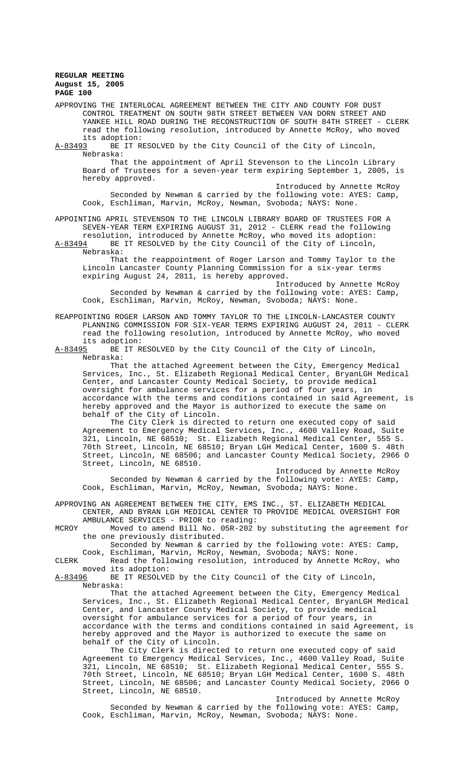APPROVING THE INTERLOCAL AGREEMENT BETWEEN THE CITY AND COUNTY FOR DUST CONTROL TREATMENT ON SOUTH 98TH STREET BETWEEN VAN DORN STREET AND YANKEE HILL ROAD DURING THE RECONSTRUCTION OF SOUTH 84TH STREET - CLERK read the following resolution, introduced by Annette McRoy, who moved its adoption:<br>A-83493 BE IT R

BE IT RESOLVED by the City Council of the City of Lincoln, Nebraska:

That the appointment of April Stevenson to the Lincoln Library Board of Trustees for a seven-year term expiring September 1, 2005, is hereby approved.

Introduced by Annette McRoy Seconded by Newman & carried by the following vote: AYES: Camp, Cook, Eschliman, Marvin, McRoy, Newman, Svoboda; NAYS: None.

APPOINTING APRIL STEVENSON TO THE LINCOLN LIBRARY BOARD OF TRUSTEES FOR A SEVEN-YEAR TERM EXPIRING AUGUST 31, 2012 - CLERK read the following resolution, introduced by Annette McRoy, who moved its adoption:

A-83494 BE IT RESOLVED by the City Council of the City of Lincoln, Nebraska:

That the reappointment of Roger Larson and Tommy Taylor to the Lincoln Lancaster County Planning Commission for a six-year terms expiring August 24, 2011, is hereby approved.

Introduced by Annette McRoy Seconded by Newman & carried by the following vote: AYES: Camp, Cook, Eschliman, Marvin, McRoy, Newman, Svoboda; NAYS: None.

REAPPOINTING ROGER LARSON AND TOMMY TAYLOR TO THE LINCOLN-LANCASTER COUNTY PLANNING COMMISSION FOR SIX-YEAR TERMS EXPIRING AUGUST 24, 2011 - CLERK read the following resolution, introduced by Annette McRoy, who moved its adoption:<br>A-83495 BE IT R

BE IT RESOLVED by the City Council of the City of Lincoln, Nebraska:

That the attached Agreement between the City, Emergency Medical Services, Inc., St. Elizabeth Regional Medical Center, BryanLGH Medical Center, and Lancaster County Medical Society, to provide medical oversight for ambulance services for a period of four years, in accordance with the terms and conditions contained in said Agreement, is hereby approved and the Mayor is authorized to execute the same on behalf of the City of Lincoln.

The City Clerk is directed to return one executed copy of said Agreement to Emergency Medical Services, Inc., 4600 Valley Road, Suite 321, Lincoln, NE 68510; St. Elizabeth Regional Medical Center, 555 S. 70th Street, Lincoln, NE 68510; Bryan LGH Medical Center, 1600 S. 48th Street, Lincoln, NE 68506; and Lancaster County Medical Society, 2966 O Street, Lincoln, NE 68510.

Introduced by Annette McRoy Seconded by Newman & carried by the following vote: AYES: Camp, Cook, Eschliman, Marvin, McRoy, Newman, Svoboda; NAYS: None.

APPROVING AN AGREEMENT BETWEEN THE CITY, EMS INC., ST. ELIZABETH MEDICAL CENTER, AND BYRAN LGH MEDICAL CENTER TO PROVIDE MEDICAL OVERSIGHT FOR AMBULANCE SERVICES - PRIOR to reading:

MCROY Moved to amend Bill No. 05R-202 by substituting the agreement for the one previously distributed.

Seconded by Newman & carried by the following vote: AYES: Camp, Cook, Eschliman, Marvin, McRoy, Newman, Svoboda; NAYS: None.

CLERK Read the following resolution, introduced by Annette McRoy, who moved its adoption:<br>A-83496 BE IT RESOLVE

BE IT RESOLVED by the City Council of the City of Lincoln, Nebraska:

That the attached Agreement between the City, Emergency Medical Services, Inc., St. Elizabeth Regional Medical Center, BryanLGH Medical Center, and Lancaster County Medical Society, to provide medical oversight for ambulance services for a period of four years, in accordance with the terms and conditions contained in said Agreement, is hereby approved and the Mayor is authorized to execute the same on behalf of the City of Lincoln.

The City Clerk is directed to return one executed copy of said Agreement to Emergency Medical Services, Inc., 4600 Valley Road, Suite 321, Lincoln, NE 68510; St. Elizabeth Regional Medical Center, 555 S. 70th Street, Lincoln, NE 68510; Bryan LGH Medical Center, 1600 S. 48th Street, Lincoln, NE 68506; and Lancaster County Medical Society, 2966 O Street, Lincoln, NE 68510.

Introduced by Annette McRoy Seconded by Newman & carried by the following vote: AYES: Camp, Cook, Eschliman, Marvin, McRoy, Newman, Svoboda; NAYS: None.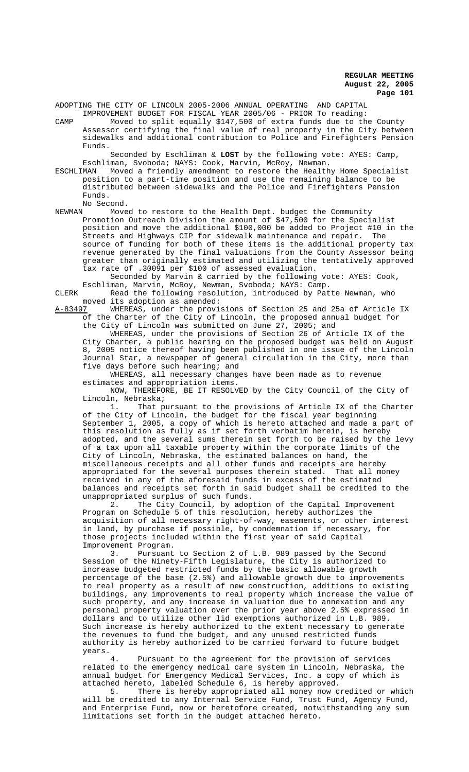ADOPTING THE CITY OF LINCOLN 2005-2006 ANNUAL OPERATING AND CAPITAL

IMPROVEMENT BUDGET FOR FISCAL YEAR 2005/06 - PRIOR To reading: CAMP Moved to split equally \$147,500 of extra funds due to the County Assessor certifying the final value of real property in the City between sidewalks and additional contribution to Police and Firefighters Pension Funds.

Seconded by Eschliman & **LOST** by the following vote: AYES: Camp, Eschliman, Svoboda; NAYS: Cook, Marvin, McRoy, Newman.

ESCHLIMAN Moved a friendly amendment to restore the Healthy Home Specialist position to a part-time position and use the remaining balance to be distributed between sidewalks and the Police and Firefighters Pension Funds.

No Second.<br>NEWMAN Move NEWMAN Moved to restore to the Health Dept. budget the Community Promotion Outreach Division the amount of \$47,500 for the Specialist position and move the additional \$100,000 be added to Project #10 in the<br>Streets and Highways CIP for sidewalk maintenance and repair. The Streets and Highways CIP for sidewalk maintenance and repair. source of funding for both of these items is the additional property tax revenue generated by the final valuations from the County Assessor being greater than originally estimated and utilizing the tentatively approved tax rate of .30091 per \$100 of assessed evaluation.

Seconded by Marvin & carried by the following vote: AYES: Cook, Eschliman, Marvin, McRoy, Newman, Svoboda; NAYS: Camp.

CLERK Read the following resolution, introduced by Patte Newman, who moved its adoption as amended:<br>A-83497 WHEREAS, under the provi

WHEREAS, under the provisions of Section 25 and 25a of Article IX of the Charter of the City of Lincoln, the proposed annual budget for the City of Lincoln was submitted on June 27, 2005; and

WHEREAS, under the provisions of Section 26 of Article IX of the City Charter, a public hearing on the proposed budget was held on August 8, 2005 notice thereof having been published in one issue of the Lincoln Journal Star, a newspaper of general circulation in the City, more than five days before such hearing; and

WHEREAS, all necessary changes have been made as to revenue estimates and appropriation items.

NOW, THEREFORE, BE IT RESOLVED by the City Council of the City of Lincoln, Nebraska;

1. That pursuant to the provisions of Article IX of the Charter of the City of Lincoln, the budget for the fiscal year beginning September 1, 2005, a copy of which is hereto attached and made a part of this resolution as fully as if set forth verbatim herein, is hereby adopted, and the several sums therein set forth to be raised by the levy of a tax upon all taxable property within the corporate limits of the City of Lincoln, Nebraska, the estimated balances on hand, the miscellaneous receipts and all other funds and receipts are hereby appropriated for the several purposes therein stated. That all money received in any of the aforesaid funds in excess of the estimated balances and receipts set forth in said budget shall be credited to the unappropriated surplus of such funds.

2. The City Council, by adoption of the Capital Improvement Program on Schedule 5 of this resolution, hereby authorizes the acquisition of all necessary right-of-way, easements, or other interest in land, by purchase if possible, by condemnation if necessary, for those projects included within the first year of said Capital Improvement Program.

3. Pursuant to Section 2 of L.B. 989 passed by the Second Session of the Ninety-Fifth Legislature, the City is authorized to increase budgeted restricted funds by the basic allowable growth percentage of the base (2.5%) and allowable growth due to improvements to real property as a result of new construction, additions to existing buildings, any improvements to real property which increase the value of such property, and any increase in valuation due to annexation and any personal property valuation over the prior year above 2.5% expressed in dollars and to utilize other lid exemptions authorized in L.B. 989. Such increase is hereby authorized to the extent necessary to generate the revenues to fund the budget, and any unused restricted funds authority is hereby authorized to be carried forward to future budget years.

Pursuant to the agreement for the provision of services related to the emergency medical care system in Lincoln, Nebraska, the annual budget for Emergency Medical Services, Inc. a copy of which is attached hereto, labeled Schedule 6, is hereby approved.<br>5. There is hereby appropriated all money now c

There is hereby appropriated all money now credited or which will be credited to any Internal Service Fund, Trust Fund, Agency Fund, and Enterprise Fund, now or heretofore created, notwithstanding any sum limitations set forth in the budget attached hereto.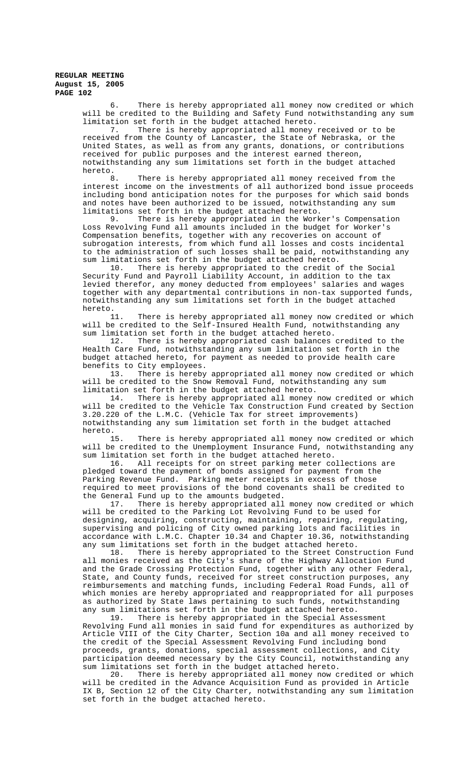> 6. There is hereby appropriated all money now credited or which will be credited to the Building and Safety Fund notwithstanding any sum limitation set forth in the budget attached hereto.

7. There is hereby appropriated all money received or to be received from the County of Lancaster, the State of Nebraska, or the United States, as well as from any grants, donations, or contributions received for public purposes and the interest earned thereon, notwithstanding any sum limitations set forth in the budget attached hereto.

8. There is hereby appropriated all money received from the interest income on the investments of all authorized bond issue proceeds including bond anticipation notes for the purposes for which said bonds and notes have been authorized to be issued, notwithstanding any sum limitations set forth in the budget attached hereto.<br>9. There is hereby appropriated in the Work

There is hereby appropriated in the Worker's Compensation Loss Revolving Fund all amounts included in the budget for Worker's Compensation benefits, together with any recoveries on account of subrogation interests, from which fund all losses and costs incidental to the administration of such losses shall be paid, notwithstanding any sum limitations set forth in the budget attached hereto.<br>10. There is hereby appropriated to the credit o

There is hereby appropriated to the credit of the Social Security Fund and Payroll Liability Account, in addition to the tax levied therefor, any money deducted from employees' salaries and wages together with any departmental contributions in non-tax supported funds, notwithstanding any sum limitations set forth in the budget attached hereto.<br>11.

There is hereby appropriated all money now credited or which will be credited to the Self-Insured Health Fund, notwithstanding any

sum limitation set forth in the budget attached hereto.<br>12. There is hereby appropriated cash balances There is hereby appropriated cash balances credited to the Health Care Fund, notwithstanding any sum limitation set forth in the budget attached hereto, for payment as needed to provide health care benefits to City employees.

13. There is hereby appropriated all money now credited or which will be credited to the Snow Removal Fund, notwithstanding any sum limitation set forth in the budget attached hereto.

14. There is hereby appropriated all money now credited or which will be credited to the Vehicle Tax Construction Fund created by Section 3.20.220 of the L.M.C. (Vehicle Tax for street improvements) notwithstanding any sum limitation set forth in the budget attached hereto.<br>15

There is hereby appropriated all money now credited or which will be credited to the Unemployment Insurance Fund, notwithstanding any sum limitation set forth in the budget attached hereto.<br>16. All receipts for on street parking meter co

All receipts for on street parking meter collections are pledged toward the payment of bonds assigned for payment from the Parking Revenue Fund. Parking meter receipts in excess of those required to meet provisions of the bond covenants shall be credited to the General Fund up to the amounts budgeted.<br>17. There is hereby appropriated all

There is hereby appropriated all money now credited or which will be credited to the Parking Lot Revolving Fund to be used for designing, acquiring, constructing, maintaining, repairing, regulating, supervising and policing of City owned parking lots and facilities in accordance with L.M.C. Chapter 10.34 and Chapter 10.36, notwithstanding any sum limitations set forth in the budget attached hereto.

18. There is hereby appropriated to the Street Construction Fund all monies received as the City's share of the Highway Allocation Fund and the Grade Crossing Protection Fund, together with any other Federal, State, and County funds, received for street construction purposes, any reimbursements and matching funds, including Federal Road Funds, all of which monies are hereby appropriated and reappropriated for all purposes as authorized by State laws pertaining to such funds, notwithstanding any sum limitations set forth in the budget attached hereto.<br>19. There is hereby appropriated in the Special Assee

There is hereby appropriated in the Special Assessment Revolving Fund all monies in said fund for expenditures as authorized by Article VIII of the City Charter, Section 10a and all money received to the credit of the Special Assessment Revolving Fund including bond proceeds, grants, donations, special assessment collections, and City participation deemed necessary by the City Council, notwithstanding any sum limitations set forth in the budget attached hereto.

20. There is hereby appropriated all money now credited or which will be credited in the Advance Acquisition Fund as provided in Article IX B, Section 12 of the City Charter, notwithstanding any sum limitation set forth in the budget attached hereto.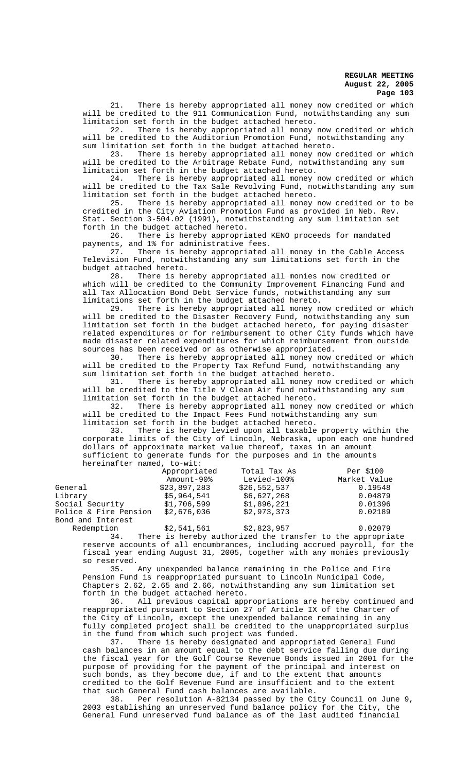21. There is hereby appropriated all money now credited or which will be credited to the 911 Communication Fund, notwithstanding any sum limitation set forth in the budget attached hereto.

22. There is hereby appropriated all money now credited or which will be credited to the Auditorium Promotion Fund, notwithstanding any sum limitation set forth in the budget attached hereto.<br>23. There is hereby appropriated all money now

There is hereby appropriated all money now credited or which will be credited to the Arbitrage Rebate Fund, notwithstanding any sum limitation set forth in the budget attached hereto.

24. There is hereby appropriated all money now credited or which will be credited to the Tax Sale Revolving Fund, notwithstanding any sum limitation set forth in the budget attached hereto.<br>25. There is hereby appropriated all money

There is hereby appropriated all money now credited or to be credited in the City Aviation Promotion Fund as provided in Neb. Rev. Stat. Section 3-504.02 (1991), notwithstanding any sum limitation set

forth in the budget attached hereto.<br>26. There is hereby appropri There is hereby appropriated KENO proceeds for mandated payments, and 1% for administrative fees.

27. There is hereby appropriated all money in the Cable Access Television Fund, notwithstanding any sum limitations set forth in the budget attached hereto.<br>28. There is he

There is hereby appropriated all monies now credited or which will be credited to the Community Improvement Financing Fund and all Tax Allocation Bond Debt Service funds, notwithstanding any sum limitations set forth in the budget attached hereto.<br>29. There is hereby appropriated all money no

There is hereby appropriated all money now credited or which will be credited to the Disaster Recovery Fund, notwithstanding any sum limitation set forth in the budget attached hereto, for paying disaster related expenditures or for reimbursement to other City funds which have made disaster related expenditures for which reimbursement from outside sources has been received or as otherwise appropriated.

30. There is hereby appropriated all money now credited or which will be credited to the Property Tax Refund Fund, notwithstanding any sum limitation set forth in the budget attached hereto.

31. There is hereby appropriated all money now credited or which will be credited to the Title V Clean Air fund notwithstanding any sum

limitation set forth in the budget attached hereto. There is hereby appropriated all money now credited or which will be credited to the Impact Fees Fund notwithstanding any sum

limitation set forth in the budget attached hereto.<br>33. There is hereby levied upon all taxable There is hereby levied upon all taxable property within the corporate limits of the City of Lincoln, Nebraska, upon each one hundred dollars of approximate market value thereof, taxes in an amount sufficient to generate funds for the purposes and in the amounts hereinafter named, to-wit:

|                       | Appropriated | Total Tax As | Per \$100    |
|-----------------------|--------------|--------------|--------------|
|                       | Amount-90%   | Levied-100%  | Market Value |
| General               | \$23.897.283 | \$26,552,537 | 0.19548      |
| Library               | \$5,964,541  | \$6,627,268  | 0.04879      |
| Social Security       | \$1,706,599  | \$1,896,221  | 0.01396      |
| Police & Fire Pension | \$2,676,036  | \$2,973,373  | 0.02189      |
| Bond and Interest     |              |              |              |
|                       |              |              |              |

Redemption  $$2,541,561$   $$2,823,957$  0.02079 34. There is hereby authorized the transfer to the appropriate reserve accounts of all encumbrances, including accrued payroll, for the fiscal year ending August 31, 2005, together with any monies previously so reserved.

35. Any unexpended balance remaining in the Police and Fire Pension Fund is reappropriated pursuant to Lincoln Municipal Code, Chapters 2.62, 2.65 and 2.66, notwithstanding any sum limitation set forth in the budget attached hereto.

36. All previous capital appropriations are hereby continued and reappropriated pursuant to Section 27 of Article IX of the Charter of the City of Lincoln, except the unexpended balance remaining in any fully completed project shall be credited to the unappropriated surplus in the fund from which such project was funded.

37. There is hereby designated and appropriated General Fund cash balances in an amount equal to the debt service falling due during the fiscal year for the Golf Course Revenue Bonds issued in 2001 for the purpose of providing for the payment of the principal and interest on such bonds, as they become due, if and to the extent that amounts credited to the Golf Revenue Fund are insufficient and to the extent that such General Fund cash balances are available.

38. Per resolution A-82134 passed by the City Council on June 9, 2003 establishing an unreserved fund balance policy for the City, the General Fund unreserved fund balance as of the last audited financial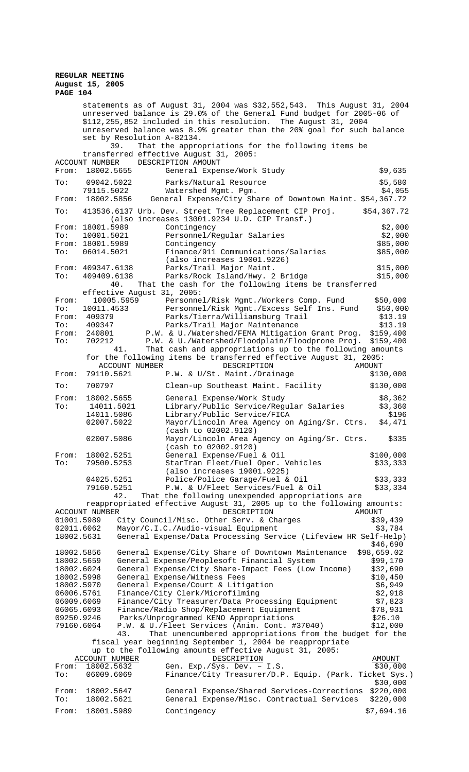# **REGULAR MEETING August 15, 2005**

**PAGE 104**

|                          |                              | statements as of August 31, 2004 was \$32,552,543. This August 31, 2004<br>unreserved balance is 29.0% of the General Fund budget for 2005-06 of<br>\$112,255,852 included in this resolution. The August 31, 2004<br>unreserved balance was 8.9% greater than the 20% goal for such balance<br>set by Resolution A-82134.<br>That the appropriations for the following items be<br>39. |                         |
|--------------------------|------------------------------|-----------------------------------------------------------------------------------------------------------------------------------------------------------------------------------------------------------------------------------------------------------------------------------------------------------------------------------------------------------------------------------------|-------------------------|
| From:                    | ACCOUNT NUMBER<br>18002.5655 | transferred effective August 31, 2005:<br>DESCRIPTION AMOUNT<br>General Expense/Work Study                                                                                                                                                                                                                                                                                              | \$9,635                 |
| To:                      | 09042.5022                   | Parks/Natural Resource                                                                                                                                                                                                                                                                                                                                                                  | \$5,580                 |
| From:                    | 79115.5022<br>18002.5856     | Watershed Mqmt. Pqm.<br>General Expense/City Share of Downtown Maint. \$54,367.72                                                                                                                                                                                                                                                                                                       | \$4,055                 |
| To:                      |                              | 413536.6137 Urb. Dev. Street Tree Replacement CIP Proj.<br>(also increases 13001.9234 U.D. CIP Transf.)                                                                                                                                                                                                                                                                                 | \$54,367.72             |
| From:                    | 18001.5989                   | Contingency                                                                                                                                                                                                                                                                                                                                                                             | \$2,000                 |
| To:                      | 10001.5021                   | Personnel/Regular Salaries                                                                                                                                                                                                                                                                                                                                                              | \$2,000                 |
| From:<br>To:             | 18001.5989<br>06014.5021     | Contingency<br>Finance/911 Communications/Salaries                                                                                                                                                                                                                                                                                                                                      | \$85,000<br>\$85,000    |
|                          |                              | (also increases 19001.9226)                                                                                                                                                                                                                                                                                                                                                             |                         |
|                          | From: 409347.6138            | Parks/Trail Major Maint.                                                                                                                                                                                                                                                                                                                                                                | \$15,000                |
| To:                      | 409409.6138                  | Parks/Rock Island/Hwy. 2 Bridge                                                                                                                                                                                                                                                                                                                                                         | \$15,000                |
|                          |                              | 40.<br>That the cash for the following items be transferred                                                                                                                                                                                                                                                                                                                             |                         |
|                          |                              | effective August 31, 2005:                                                                                                                                                                                                                                                                                                                                                              |                         |
| From:                    |                              | 10005.5959<br>Personnel/Risk Mgmt./Workers Comp. Fund                                                                                                                                                                                                                                                                                                                                   | \$50,000                |
| To:<br>From:             | 10011.4533<br>409379         | Personnel/Risk Mgmt./Excess Self Ins. Fund<br>Parks/Tierra/Williamsburg Trail                                                                                                                                                                                                                                                                                                           | \$50,000<br>\$13.19     |
| To:                      | 409347                       | Parks/Trail Major Maintenance                                                                                                                                                                                                                                                                                                                                                           | \$13.19                 |
| From:                    | 240801                       | P.W. & U./Watershed/FEMA Mitigation Grant Prog.                                                                                                                                                                                                                                                                                                                                         | \$159,400               |
| To:                      | 702212                       | P.W. & U./Watershed/Floodplain/Floodprone Proj.                                                                                                                                                                                                                                                                                                                                         | \$159,400               |
|                          |                              | That cash and appropriations up to the following amounts<br>41.                                                                                                                                                                                                                                                                                                                         |                         |
|                          |                              | for the following items be transferred effective August 31, 2005:                                                                                                                                                                                                                                                                                                                       |                         |
|                          |                              | ACCOUNT NUMBER<br>DESCRIPTION                                                                                                                                                                                                                                                                                                                                                           | <b>AMOUNT</b>           |
| From:<br>To:             | 79110.5621<br>700797         | P.W. & U/St. Maint./Drainage<br>Clean-up Southeast Maint. Facility                                                                                                                                                                                                                                                                                                                      | \$130,000<br>\$130,000  |
|                          |                              |                                                                                                                                                                                                                                                                                                                                                                                         |                         |
| From:<br>To:             | 18002.5655<br>14011.5021     | General Expense/Work Study<br>Library/Public Service/Regular Salaries                                                                                                                                                                                                                                                                                                                   | \$8,362<br>\$3,360      |
|                          | 14011.5086                   | Library/Public Service/FICA                                                                                                                                                                                                                                                                                                                                                             | \$196                   |
|                          | 02007.5022                   | Mayor/Lincoln Area Agency on Aging/Sr. Ctrs.<br>(cash to 02002.9120)                                                                                                                                                                                                                                                                                                                    | \$4,471                 |
|                          | 02007.5086                   | Mayor/Lincoln Area Agency on Aging/Sr. Ctrs.<br>(cash to 02002.9120)                                                                                                                                                                                                                                                                                                                    | \$335                   |
| From:                    | 18002.5251                   | General Expense/Fuel & Oil                                                                                                                                                                                                                                                                                                                                                              | \$100,000               |
| To:                      | 79500.5253                   | StarTran Fleet/Fuel Oper. Vehicles                                                                                                                                                                                                                                                                                                                                                      | \$33,333                |
|                          |                              | (also increases 19001.9225)                                                                                                                                                                                                                                                                                                                                                             |                         |
|                          | 04025.5251                   | Police/Police Garage/Fuel & Oil                                                                                                                                                                                                                                                                                                                                                         | \$33,333                |
|                          | 79160.5251                   | P.W. & U/Fleet Services/Fuel & Oil<br>42.<br>That the following unexpended appropriations are                                                                                                                                                                                                                                                                                           | \$33,334                |
|                          |                              | reappropriated effective August 31, 2005 up to the following amounts:                                                                                                                                                                                                                                                                                                                   |                         |
|                          | ACCOUNT NUMBER               | DESCRIPTION                                                                                                                                                                                                                                                                                                                                                                             | AMOUNT                  |
| 01001.5989               |                              | City Council/Misc. Other Serv. & Charges                                                                                                                                                                                                                                                                                                                                                | \$39,439                |
| 02011.6062               |                              | Mayor/C.I.C./Audio-visual Equipment                                                                                                                                                                                                                                                                                                                                                     | \$3,784                 |
| 18002.5631               |                              | General Expense/Data Processing Service (Lifeview HR Self-Help)                                                                                                                                                                                                                                                                                                                         |                         |
|                          |                              |                                                                                                                                                                                                                                                                                                                                                                                         | \$46,690                |
| 18002.5856<br>18002.5659 |                              | General Expense/City Share of Downtown Maintenance<br>General Expense/Peoplesoft Financial System                                                                                                                                                                                                                                                                                       | \$98,659.02<br>\$99,170 |
| 18002.6024               |                              | General Expense/City Share-Impact Fees (Low Income)                                                                                                                                                                                                                                                                                                                                     | \$32,690                |
| 18002.5998               |                              | General Expense/Witness Fees                                                                                                                                                                                                                                                                                                                                                            | \$10,450                |
| 18002.5970               |                              | General Expense/Court & Litigation                                                                                                                                                                                                                                                                                                                                                      | \$6,949                 |
| 06006.5761               |                              | Finance/City Clerk/Microfilming                                                                                                                                                                                                                                                                                                                                                         | \$2,918                 |
| 06009.6069               |                              | Finance/City Treasurer/Data Processing Equipment                                                                                                                                                                                                                                                                                                                                        | \$7,823                 |
| 06065.6093               |                              | Finance/Radio Shop/Replacement Equipment                                                                                                                                                                                                                                                                                                                                                | \$78,931                |
| 09250.9246               |                              | Parks/Unprogrammed KENO Appropriations                                                                                                                                                                                                                                                                                                                                                  | \$26.10                 |
| 79160.6064               |                              | P.W. & U./Fleet Services (Anim. Cont. #37040)                                                                                                                                                                                                                                                                                                                                           | \$12,000                |
|                          |                              | That unencumbered appropriations from the budget for the<br>43.                                                                                                                                                                                                                                                                                                                         |                         |

 fiscal year beginning September 1, 2004 be reappropriate up to the following amounts effective August 31, 2005:

|              |                  | ap co che rorrowing amounce erreceive hagabe bi, zoob. |            |
|--------------|------------------|--------------------------------------------------------|------------|
|              | ACCOUNT NUMBER   | DESCRIPTION                                            | AMOUNT     |
| From:        | 18002.5632       | Gen. $Exp./Sys. Dev. - I.S.$                           | \$30,000   |
| To:          | 06009.6069       | Finance/City Treasurer/D.P. Equip. (Park. Ticket Sys.) |            |
|              |                  |                                                        | \$30,000   |
| From:        | 18002.5647       | General Expense/Shared Services-Corrections            | \$220,000  |
| $\text{To}:$ | 18002.5621       | General Expense/Misc. Contractual Services             | \$220,000  |
|              | From: 18001.5989 | Contingency                                            | \$7,694.16 |
|              |                  |                                                        |            |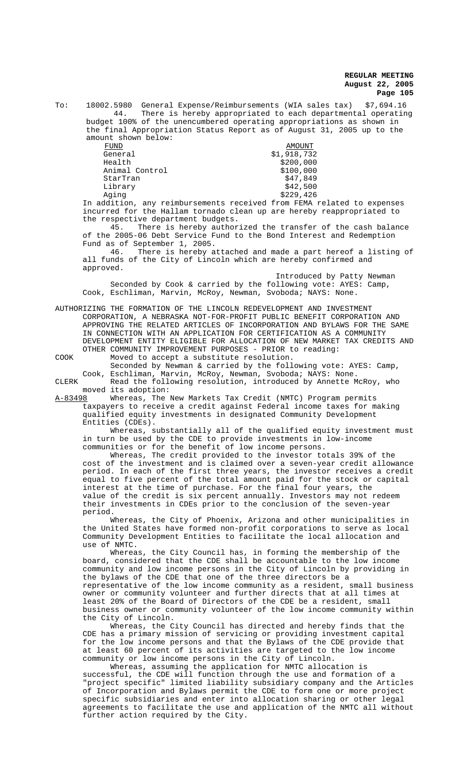To: 18002.5980 General Expense/Reimbursements (WIA sales tax) \$7,694.16 There is hereby appropriated to each departmental operating budget 100% of the unencumbered operating appropriations as shown in the final Appropriation Status Report as of August 31, 2005 up to the

amount shown below:<br>FUND  $\begin{tabular}{ll} \underline{FUND} & \underline{AMOUNT} \\ \underline{General} & \end{tabular} \begin{tabular}{ll} \multicolumn{1}{l}{} & \multicolumn{1}{l}{} & \multicolumn{1}{l}{} & \multicolumn{1}{l}{} \\ \multicolumn{1}{l}{} & \multicolumn{1}{l}{} & \multicolumn{1}{l}{} \\ \multicolumn{1}{l}{} & \multicolumn{1}{l}{} & \multicolumn{1}{l}{} \\ \multicolumn{1}{l}{} & \multicolumn{1}{l}{} & \multicolumn{1}{l}{} \\ \multicolumn{1}{l}{} & \multicolumn{1}{l}{} & \multicolumn{1}{l}{} \\ \$ General \$1,918,732<br>Health \$200,000 Animal Control StarTran \$47,849 Library \$42,500 Aging \$229,426

 In addition, any reimbursements received from FEMA related to expenses incurred for the Hallam tornado clean up are hereby reappropriated to the respective department budgets.

 $$200,000$ <br> $$100,000$ 

45. There is hereby authorized the transfer of the cash balance of the 2005-06 Debt Service Fund to the Bond Interest and Redemption Fund as of September 1, 2005.<br>46. There is hereby a

There is hereby attached and made a part hereof a listing of all funds of the City of Lincoln which are hereby confirmed and approved.

Introduced by Patty Newman Seconded by Cook & carried by the following vote: AYES: Camp, Cook, Eschliman, Marvin, McRoy, Newman, Svoboda; NAYS: None.

AUTHORIZING THE FORMATION OF THE LINCOLN REDEVELOPMENT AND INVESTMENT CORPORATION, A NEBRASKA NOT-FOR-PROFIT PUBLIC BENEFIT CORPORATION AND APPROVING THE RELATED ARTICLES OF INCORPORATION AND BYLAWS FOR THE SAME IN CONNECTION WITH AN APPLICATION FOR CERTIFICATION AS A COMMUNITY DEVELOPMENT ENTITY ELIGIBLE FOR ALLOCATION OF NEW MARKET TAX CREDITS AND OTHER COMMUNITY IMPROVEMENT PURPOSES - PRIOR to reading: COOK Moved to accept a substitute resolution.

Seconded by Newman & carried by the following vote: AYES: Camp, Cook, Eschliman, Marvin, McRoy, Newman, Svoboda; NAYS: None.

CLERK Read the following resolution, introduced by Annette McRoy, who moved its adoption:

A-83498 Whereas, The New Markets Tax Credit (NMTC) Program permits taxpayers to receive a credit against Federal income taxes for making qualified equity investments in designated Community Development Entities (CDEs).

Whereas, substantially all of the qualified equity investment must in turn be used by the CDE to provide investments in low-income communities or for the benefit of low income persons.

Whereas, The credit provided to the investor totals 39% of the cost of the investment and is claimed over a seven-year credit allowance period. In each of the first three years, the investor receives a credit equal to five percent of the total amount paid for the stock or capital interest at the time of purchase. For the final four years, the value of the credit is six percent annually. Investors may not redeem their investments in CDEs prior to the conclusion of the seven-year period.

Whereas, the City of Phoenix, Arizona and other municipalities in the United States have formed non-profit corporations to serve as local Community Development Entities to facilitate the local allocation and use of NMTC.

Whereas, the City Council has, in forming the membership of the board, considered that the CDE shall be accountable to the low income community and low income persons in the City of Lincoln by providing in the bylaws of the CDE that one of the three directors be a representative of the low income community as a resident, small business owner or community volunteer and further directs that at all times at least 20% of the Board of Directors of the CDE be a resident, small business owner or community volunteer of the low income community within the City of Lincoln.

Whereas, the City Council has directed and hereby finds that the CDE has a primary mission of servicing or providing investment capital for the low income persons and that the Bylaws of the CDE provide that at least 60 percent of its activities are targeted to the low income community or low income persons in the City of Lincoln.

Whereas, assuming the application for NMTC allocation is successful, the CDE will function through the use and formation of a "project specific" limited liability subsidiary company and the Articles of Incorporation and Bylaws permit the CDE to form one or more project specific subsidiaries and enter into allocation sharing or other legal agreements to facilitate the use and application of the NMTC all without further action required by the City.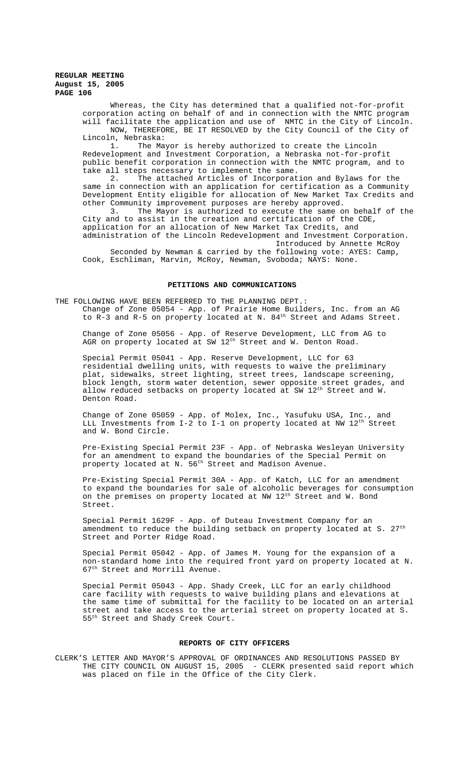Whereas, the City has determined that a qualified not-for-profit corporation acting on behalf of and in connection with the NMTC program will facilitate the application and use of NMTC in the City of Lincoln. NOW, THEREFORE, BE IT RESOLVED by the City Council of the City of

Lincoln, Nebraska:<br>1. The Ma The Mayor is hereby authorized to create the Lincoln Redevelopment and Investment Corporation, a Nebraska not-for-profit public benefit corporation in connection with the NMTC program, and to take all steps necessary to implement the same.

2. The attached Articles of Incorporation and Bylaws for the same in connection with an application for certification as a Community Development Entity eligible for allocation of New Market Tax Credits and other Community improvement purposes are hereby approved.<br>3. The Mayor is authorized to execute the same of The Mayor is authorized to execute the same on behalf of the

City and to assist in the creation and certification of the CDE, application for an allocation of New Market Tax Credits, and administration of the Lincoln Redevelopment and Investment Corporation.

Introduced by Annette McRoy Seconded by Newman & carried by the following vote: AYES: Camp,

Cook, Eschliman, Marvin, McRoy, Newman, Svoboda; NAYS: None.

#### **PETITIONS AND COMMUNICATIONS**

THE FOLLOWING HAVE BEEN REFERRED TO THE PLANNING DEPT. : Change of Zone 05054 - App. of Prairie Home Builders, Inc. from an AG to R-3 and R-5 on property located at N. 84<sup>th</sup> Street and Adams Street.

Change of Zone 05056 - App. of Reserve Development, LLC from AG to AGR on property located at SW 12<sup>th</sup> Street and W. Denton Road.

Special Permit 05041 - App. Reserve Development, LLC for 63 residential dwelling units, with requests to waive the preliminary plat, sidewalks, street lighting, street trees, landscape screening, block length, storm water detention, sewer opposite street grades, and allow reduced setbacks on property located at SW 12<sup>th</sup> Street and W. Denton Road.

Change of Zone 05059 - App. of Molex, Inc., Yasufuku USA, Inc., and LLL Investments from I-2 to I-1 on property located at NW 12th Street and W. Bond Circle.

Pre-Existing Special Permit 23F - App. of Nebraska Wesleyan University for an amendment to expand the boundaries of the Special Permit on property located at N. 56<sup>th</sup> Street and Madison Avenue.

Pre-Existing Special Permit 30A - App. of Katch, LLC for an amendment to expand the boundaries for sale of alcoholic beverages for consumption on the premises on property located at NW 12<sup>th</sup> Street and W. Bond Street.

Special Permit 1629F - App. of Duteau Investment Company for an amendment to reduce the building setback on property located at S. 27<sup>th</sup> Street and Porter Ridge Road.

Special Permit 05042 - App. of James M. Young for the expansion of a non-standard home into the required front yard on property located at N. 67<sup>th</sup> Street and Morrill Avenue.

Special Permit 05043 - App. Shady Creek, LLC for an early childhood care facility with requests to waive building plans and elevations at the same time of submittal for the facility to be located on an arterial street and take access to the arterial street on property located at S. 55th Street and Shady Creek Court.

#### **REPORTS OF CITY OFFICERS**

CLERK'S LETTER AND MAYOR'S APPROVAL OF ORDINANCES AND RESOLUTIONS PASSED BY THE CITY COUNCIL ON AUGUST 15, 2005 - CLERK presented said report which was placed on file in the Office of the City Clerk.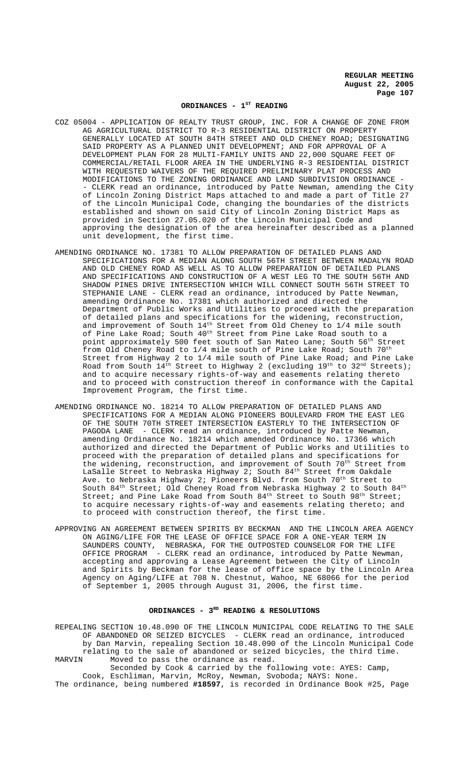#### ORDINANCES - 1<sup>ST</sup> READING

- COZ 05004 APPLICATION OF REALTY TRUST GROUP, INC. FOR A CHANGE OF ZONE FROM AG AGRICULTURAL DISTRICT TO R-3 RESIDENTIAL DISTRICT ON PROPERTY GENERALLY LOCATED AT SOUTH 84TH STREET AND OLD CHENEY ROAD; DESIGNATING SAID PROPERTY AS A PLANNED UNIT DEVELOPMENT; AND FOR APPROVAL OF A DEVELOPMENT PLAN FOR 28 MULTI-FAMILY UNITS AND 22,000 SQUARE FEET OF COMMERCIAL/RETAIL FLOOR AREA IN THE UNDERLYING R-3 RESIDENTIAL DISTRICT WITH REQUESTED WAIVERS OF THE REQUIRED PRELIMINARY PLAT PROCESS AND MODIFICATIONS TO THE ZONING ORDINANCE AND LAND SUBDIVISION ORDINANCE - CLERK read an ordinance, introduced by Patte Newman, amending the City of Lincoln Zoning District Maps attached to and made a part of Title 27 of the Lincoln Municipal Code, changing the boundaries of the districts established and shown on said City of Lincoln Zoning District Maps as provided in Section 27.05.020 of the Lincoln Municipal Code and approving the designation of the area hereinafter described as a planned unit development, the first time.
- AMENDING ORDINANCE NO. 17381 TO ALLOW PREPARATION OF DETAILED PLANS AND SPECIFICATIONS FOR A MEDIAN ALONG SOUTH 56TH STREET BETWEEN MADALYN ROAD AND OLD CHENEY ROAD AS WELL AS TO ALLOW PREPARATION OF DETAILED PLANS AND SPECIFICATIONS AND CONSTRUCTION OF A WEST LEG TO THE SOUTH 56TH AND SHADOW PINES DRIVE INTERSECTION WHICH WILL CONNECT SOUTH 56TH STREET TO STEPHANIE LANE - CLERK read an ordinance, introduced by Patte Newman, amending Ordinance No. 17381 which authorized and directed the Department of Public Works and Utilities to proceed with the preparation of detailed plans and specifications for the widening, reconstruction, and improvement of South  $14^{\text{th}}$  Street from Old Cheney to  $1/4$  mile south of Pine Lake Road; South 40<sup>th</sup> Street from Pine Lake Road south to a point approximately 500 feet south of San Mateo Lane; South 56th Street from Old Cheney Road to  $1/4$  mile south of Pine Lake Road; South  $70^{th}$ Street from Highway 2 to 1/4 mile south of Pine Lake Road; and Pine Lake Road from South  $14^{\text{th}}$  Street to Highway 2 (excluding  $19^{\text{th}}$  to  $32^{\text{nd}}$  Streets); and to acquire necessary rights-of-way and easements relating thereto and to proceed with construction thereof in conformance with the Capital Improvement Program, the first time.
- AMENDING ORDINANCE NO. 18214 TO ALLOW PREPARATION OF DETAILED PLANS AND SPECIFICATIONS FOR A MEDIAN ALONG PIONEERS BOULEVARD FROM THE EAST LEG OF THE SOUTH 70TH STREET INTERSECTION EASTERLY TO THE INTERSECTION OF PAGODA LANE - CLERK read an ordinance, introduced by Patte Newman, amending Ordinance No. 18214 which amended Ordinance No. 17366 which authorized and directed the Department of Public Works and Utilities to proceed with the preparation of detailed plans and specifications for the widening, reconstruction, and improvement of South  $70<sup>th</sup>$  Street from LaSalle Street to Nebraska Highway 2; South 84<sup>th</sup> Street from Oakdale Ave. to Nebraska Highway 2; Pioneers Blvd. from South 70<sup>th</sup> Street to South 84<sup>th</sup> Street; Old Cheney Road from Nebraska Highway 2 to South 84<sup>th</sup> Street; and Pine Lake Road from South  $84<sup>th</sup>$  Street to South  $98<sup>th</sup>$  Street; to acquire necessary rights-of-way and easements relating thereto; and to proceed with construction thereof, the first time.
- APPROVING AN AGREEMENT BETWEEN SPIRITS BY BECKMAN AND THE LINCOLN AREA AGENCY ON AGING/LIFE FOR THE LEASE OF OFFICE SPACE FOR A ONE-YEAR TERM IN SAUNDERS COUNTY, NEBRASKA, FOR THE OUTPOSTED COUNSELOR FOR THE LIFE OFFICE PROGRAM - CLERK read an ordinance, introduced by Patte Newman, accepting and approving a Lease Agreement between the City of Lincoln and Spirits by Beckman for the lease of office space by the Lincoln Area Agency on Aging/LIFE at 708 N. Chestnut, Wahoo, NE 68066 for the period of September 1, 2005 through August 31, 2006, the first time.

## ORDINANCES - 3<sup>RD</sup> READING & RESOLUTIONS

REPEALING SECTION 10.48.090 OF THE LINCOLN MUNICIPAL CODE RELATING TO THE SALE OF ABANDONED OR SEIZED BICYCLES - CLERK read an ordinance, introduced by Dan Marvin, repealing Section 10.48.090 of the Lincoln Municipal Code relating to the sale of abandoned or seized bicycles, the third time.<br>MARVIN Moved to pass the ordinance as read. Moved to pass the ordinance as read. Seconded by Cook & carried by the following vote: AYES: Camp,

Cook, Eschliman, Marvin, McRoy, Newman, Svoboda; NAYS: None. The ordinance, being numbered **#18597**, is recorded in Ordinance Book #25, Page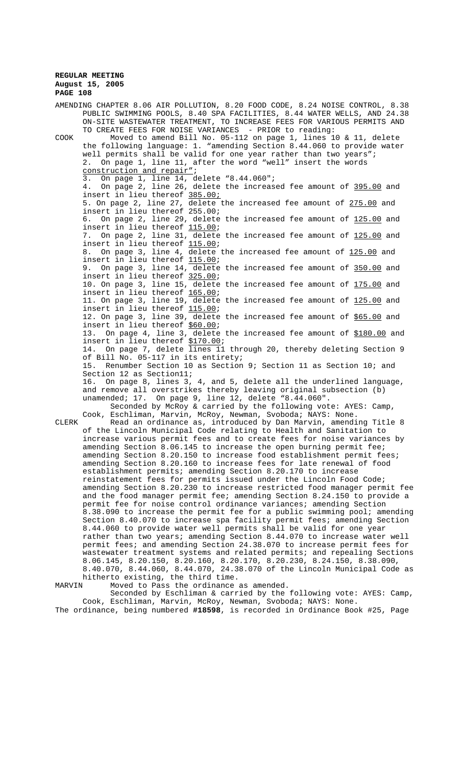|        | AMENDING CHAPTER 8.06 AIR POLLUTION, 8.20 FOOD CODE, 8.24 NOISE CONTROL, 8.38                                                                     |
|--------|---------------------------------------------------------------------------------------------------------------------------------------------------|
|        | PUBLIC SWIMMING POOLS, 8.40 SPA FACILITIES, 8.44 WATER WELLS, AND 24.38<br>ON-SITE WASTEWATER TREATMENT, TO INCREASE FEES FOR VARIOUS PERMITS AND |
|        | TO CREATE FEES FOR NOISE VARIANCES - PRIOR to reading:                                                                                            |
| COOK   | Moved to amend Bill No. 05-112 on page 1, lines 10 & 11, delete                                                                                   |
|        | the following language: 1. "amending Section 8.44.060 to provide water                                                                            |
|        | well permits shall be valid for one year rather than two years";                                                                                  |
|        | On page 1, line 11, after the word "well" insert the words<br>2.                                                                                  |
|        | construction and repair";<br>On page 1, line 14, delete "8.44.060";<br>3.                                                                         |
|        | 4. On page 2, line 26, delete the increased fee amount of 395.00 and                                                                              |
|        | insert in lieu thereof 385.00;                                                                                                                    |
|        | 5. On page 2, line 27, delete the increased fee amount of 275.00 and                                                                              |
|        | insert in lieu thereof 255.00;                                                                                                                    |
|        | On page 2, line 29, delete the increased fee amount of 125.00 and<br>6.                                                                           |
|        | insert in lieu thereof 115.00;                                                                                                                    |
|        | 7. On page 2, line 31, delete the increased fee amount of 125.00 and                                                                              |
|        | insert in lieu thereof 115.00;                                                                                                                    |
|        | 8. On page 3, line 4, delete the increased fee amount of 125.00 and                                                                               |
|        | insert in lieu thereof 115.00;                                                                                                                    |
|        | 9. On page 3, line 14, delete the increased fee amount of 350.00 and<br>insert in lieu thereof 325.00;                                            |
|        | 10. On page 3, line 15, delete the increased fee amount of 175.00 and                                                                             |
|        | insert in lieu thereof 165.00;                                                                                                                    |
|        | 11. On page 3, line 19, delete the increased fee amount of 125.00 and                                                                             |
|        | insert in lieu thereof 115.00;                                                                                                                    |
|        | 12. On page 3, line 39, delete the increased fee amount of \$65.00 and                                                                            |
|        | insert in lieu thereof \$60.00;                                                                                                                   |
|        | 13. On page 4, line 3, delete the increased fee amount of \$180.00 and                                                                            |
|        | insert in lieu thereof \$170.00;                                                                                                                  |
|        | 14. On page 7, delete lines 11 through 20, thereby deleting Section 9                                                                             |
|        | of Bill No. 05-117 in its entirety;                                                                                                               |
|        | Renumber Section 10 as Section 9; Section 11 as Section 10; and<br>15.                                                                            |
|        | Section 12 as Section11;                                                                                                                          |
|        | 16. On page 8, lines 3, 4, and 5, delete all the underlined language,                                                                             |
|        | and remove all overstrikes thereby leaving original subsection (b)<br>unamended; 17. On page 9, line 12, delete "8.44.060".                       |
|        | Seconded by McRoy & carried by the following vote: AYES: Camp,                                                                                    |
|        | Cook, Eschliman, Marvin, McRoy, Newman, Svoboda; NAYS: None.                                                                                      |
| CLERK  | Read an ordinance as, introduced by Dan Marvin, amending Title 8                                                                                  |
|        | of the Lincoln Municipal Code relating to Health and Sanitation to                                                                                |
|        | increase various permit fees and to create fees for noise variances by                                                                            |
|        | amending Section 8.06.145 to increase the open burning permit fee;                                                                                |
|        | amending Section 8.20.150 to increase food establishment permit fees;                                                                             |
|        | amending Section 8.20.160 to increase fees for late renewal of food                                                                               |
|        | establishment permits; amending Section 8.20.170 to increase                                                                                      |
|        | reinstatement fees for permits issued under the Lincoln Food Code;                                                                                |
|        | amending Section 8.20.230 to increase restricted food manager permit fee                                                                          |
|        | and the food manager permit fee; amending Section 8.24.150 to provide a                                                                           |
|        | permit fee for noise control ordinance variances; amending Section                                                                                |
|        | 8.38.090 to increase the permit fee for a public swimming pool; amending                                                                          |
|        | Section 8.40.070 to increase spa facility permit fees; amending Section<br>8.44.060 to provide water well permits shall be valid for one year     |
|        | rather than two years; amending Section 8.44.070 to increase water well                                                                           |
|        | permit fees; and amending Section 24.38.070 to increase permit fees for                                                                           |
|        | wastewater treatment systems and related permits; and repealing Sections                                                                          |
|        | 8.06.145, 8.20.150, 8.20.160, 8.20.170, 8.20.230, 8.24.150, 8.38.090,                                                                             |
|        | 8.40.070, 8.44.060, 8.44.070, 24.38.070 of the Lincoln Municipal Code as                                                                          |
|        | hitherto existing, the third time.                                                                                                                |
| MARVIN | Moved to Pass the ordinance as amended.                                                                                                           |
|        | Seconded by Eschliman & carried by the following vote: AYES: Camp,                                                                                |

Cook, Eschliman, Marvin, McRoy, Newman, Svoboda; NAYS: None. The ordinance, being numbered **#18598**, is recorded in Ordinance Book #25, Page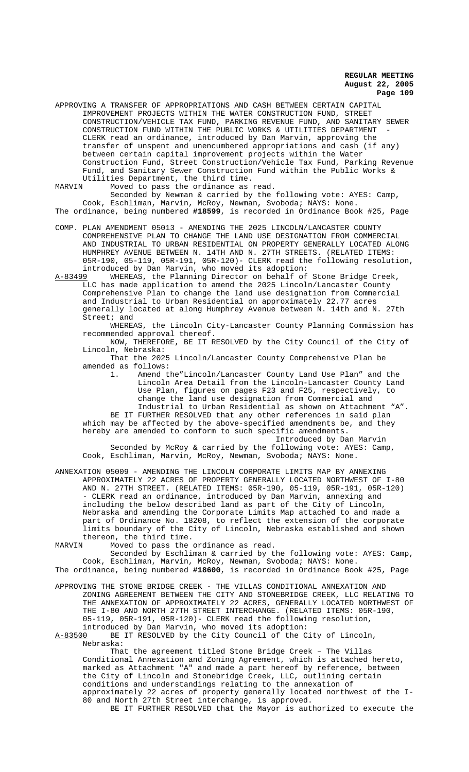APPROVING A TRANSFER OF APPROPRIATIONS AND CASH BETWEEN CERTAIN CAPITAL IMPROVEMENT PROJECTS WITHIN THE WATER CONSTRUCTION FUND, STREET CONSTRUCTION/VEHICLE TAX FUND, PARKING REVENUE FUND, AND SANITARY SEWER CONSTRUCTION FUND WITHIN THE PUBLIC WORKS & UTILITIES DEPARTMENT - CLERK read an ordinance, introduced by Dan Marvin, approving the transfer of unspent and unencumbered appropriations and cash (if any) between certain capital improvement projects within the Water Construction Fund, Street Construction/Vehicle Tax Fund, Parking Revenue Fund, and Sanitary Sewer Construction Fund within the Public Works & Utilities Department, the third time.<br>MARVIN Moved to pass the ordinance as

Moved to pass the ordinance as read.

Seconded by Newman & carried by the following vote: AYES: Camp, Cook, Eschliman, Marvin, McRoy, Newman, Svoboda; NAYS: None. The ordinance, being numbered **#18599**, is recorded in Ordinance Book #25, Page

COMP. PLAN AMENDMENT 05013 - AMENDING THE 2025 LINCOLN/LANCASTER COUNTY COMPREHENSIVE PLAN TO CHANGE THE LAND USE DESIGNATION FROM COMMERCIAL AND INDUSTRIAL TO URBAN RESIDENTIAL ON PROPERTY GENERALLY LOCATED ALONG HUMPHREY AVENUE BETWEEN N. 14TH AND N. 27TH STREETS. (RELATED ITEMS: 05R-190, 05-119, 05R-191, 05R-120)- CLERK read the following resolution, introduced by Dan Marvin, who moved its adoption:

A-83499 WHEREAS, the Planning Director on behalf of Stone Bridge Creek, LLC has made application to amend the 2025 Lincoln/Lancaster County Comprehensive Plan to change the land use designation from Commercial and Industrial to Urban Residential on approximately 22.77 acres generally located at along Humphrey Avenue between N. 14th and N. 27th Street; and

WHEREAS, the Lincoln City-Lancaster County Planning Commission has recommended approval thereof.

NOW, THEREFORE, BE IT RESOLVED by the City Council of the City of Lincoln, Nebraska:

That the 2025 Lincoln/Lancaster County Comprehensive Plan be amended as follows:<br>1. Amend t.

Amend the"Lincoln/Lancaster County Land Use Plan" and the Lincoln Area Detail from the Lincoln-Lancaster County Land Use Plan, figures on pages F23 and F25, respectively, to change the land use designation from Commercial and

Industrial to Urban Residential as shown on Attachment "A". BE IT FURTHER RESOLVED that any other references in said plan which may be affected by the above-specified amendments be, and they hereby are amended to conform to such specific amendments.

Introduced by Dan Marvin

Seconded by McRoy & carried by the following vote: AYES: Camp, Cook, Eschliman, Marvin, McRoy, Newman, Svoboda; NAYS: None.

ANNEXATION 05009 - AMENDING THE LINCOLN CORPORATE LIMITS MAP BY ANNEXING APPROXIMATELY 22 ACRES OF PROPERTY GENERALLY LOCATED NORTHWEST OF I-80 AND N. 27TH STREET. (RELATED ITEMS: 05R-190, 05-119, 05R-191, 05R-120) - CLERK read an ordinance, introduced by Dan Marvin, annexing and including the below described land as part of the City of Lincoln, Nebraska and amending the Corporate Limits Map attached to and made a part of Ordinance No. 18208, to reflect the extension of the corporate limits boundary of the City of Lincoln, Nebraska established and shown thereon, the third time.

MARVIN Moved to pass the ordinance as read.

Seconded by Eschliman & carried by the following vote: AYES: Camp, Cook, Eschliman, Marvin, McRoy, Newman, Svoboda; NAYS: None. The ordinance, being numbered **#18600**, is recorded in Ordinance Book #25, Page

APPROVING THE STONE BRIDGE CREEK - THE VILLAS CONDITIONAL ANNEXATION AND ZONING AGREEMENT BETWEEN THE CITY AND STONEBRIDGE CREEK, LLC RELATING TO THE ANNEXATION OF APPROXIMATELY 22 ACRES, GENERALLY LOCATED NORTHWEST OF THE I-80 AND NORTH 27TH STREET INTERCHANGE. (RELATED ITEMS: 05R-190, 05-119, 05R-191, 05R-120)- CLERK read the following resolution,

introduced by Dan Marvin, who moved its adoption:<br>A-83500 BE IT RESOLVED by the City Council of the C BE IT RESOLVED by the City Council of the City of Lincoln, Nebraska:

That the agreement titled Stone Bridge Creek – The Villas Conditional Annexation and Zoning Agreement, which is attached hereto, marked as Attachment "A" and made a part hereof by reference, between the City of Lincoln and Stonebridge Creek, LLC, outlining certain conditions and understandings relating to the annexation of approximately 22 acres of property generally located northwest of the I-80 and North 27th Street interchange, is approved.

BE IT FURTHER RESOLVED that the Mayor is authorized to execute the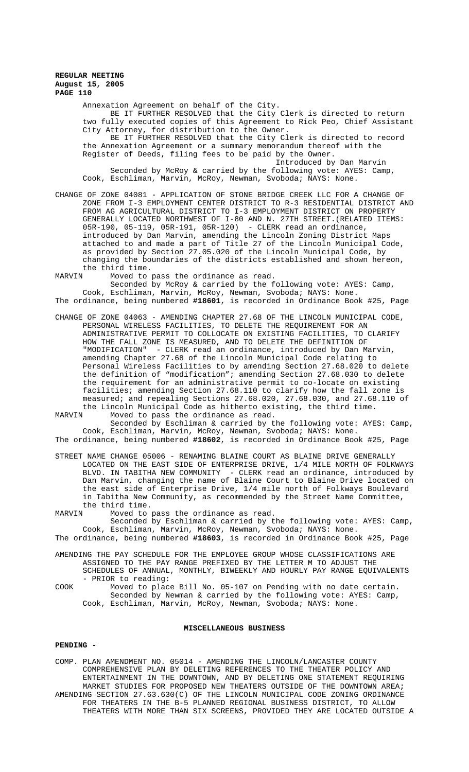Annexation Agreement on behalf of the City. BE IT FURTHER RESOLVED that the City Clerk is directed to return two fully executed copies of this Agreement to Rick Peo, Chief Assistant City Attorney, for distribution to the Owner. BE IT FURTHER RESOLVED that the City Clerk is directed to record the Annexation Agreement or a summary memorandum thereof with the Register of Deeds, filing fees to be paid by the Owner. Introduced by Dan Marvin Seconded by McRoy & carried by the following vote: AYES: Camp, Cook, Eschliman, Marvin, McRoy, Newman, Svoboda; NAYS: None.

- CHANGE OF ZONE 04081 APPLICATION OF STONE BRIDGE CREEK LLC FOR A CHANGE OF ZONE FROM I-3 EMPLOYMENT CENTER DISTRICT TO R-3 RESIDENTIAL DISTRICT AND FROM AG AGRICULTURAL DISTRICT TO I-3 EMPLOYMENT DISTRICT ON PROPERTY GENERALLY LOCATED NORTHWEST OF I-80 AND N. 27TH STREET.(RELATED ITEMS: 05R-190, 05-119, 05R-191, 05R-120) - CLERK read an ordinance, introduced by Dan Marvin, amending the Lincoln Zoning District Maps attached to and made a part of Title 27 of the Lincoln Municipal Code, as provided by Section 27.05.020 of the Lincoln Municipal Code, by changing the boundaries of the districts established and shown hereon, the third time.<br>MARVIN Moved to
	- Moved to pass the ordinance as read.

Seconded by McRoy & carried by the following vote: AYES: Camp, Cook, Eschliman, Marvin, McRoy, Newman, Svoboda; NAYS: None. The ordinance, being numbered **#18601**, is recorded in Ordinance Book #25, Page

- CHANGE OF ZONE 04063 AMENDING CHAPTER 27.68 OF THE LINCOLN MUNICIPAL CODE, PERSONAL WIRELESS FACILITIES, TO DELETE THE REQUIREMENT FOR AN ADMINISTRATIVE PERMIT TO COLLOCATE ON EXISTING FACILITIES, TO CLARIFY HOW THE FALL ZONE IS MEASURED, AND TO DELETE THE DEFINITION OF "MODIFICATION" - CLERK read an ordinance, introduced by Dan Marvin, amending Chapter 27.68 of the Lincoln Municipal Code relating to Personal Wireless Facilities to by amending Section 27.68.020 to delete the definition of "modification"; amending Section 27.68.030 to delete the requirement for an administrative permit to co-locate on existing facilities; amending Section 27.68.110 to clarify how the fall zone is measured; and repealing Sections 27.68.020, 27.68.030, and 27.68.110 of the Lincoln Municipal Code as hitherto existing, the third time.<br>MARVIN Moved to pass the ordinance as read.
- Moved to pass the ordinance as read. Seconded by Eschliman & carried by the following vote: AYES: Camp, Cook, Eschliman, Marvin, McRoy, Newman, Svoboda; NAYS: None.

The ordinance, being numbered **#18602**, is recorded in Ordinance Book #25, Page

- STREET NAME CHANGE 05006 RENAMING BLAINE COURT AS BLAINE DRIVE GENERALLY LOCATED ON THE EAST SIDE OF ENTERPRISE DRIVE, 1/4 MILE NORTH OF FOLKWAYS BLVD. IN TABITHA NEW COMMUNITY - CLERK read an ordinance, introduced by Dan Marvin, changing the name of Blaine Court to Blaine Drive located on the east side of Enterprise Drive, 1/4 mile north of Folkways Boulevard in Tabitha New Community, as recommended by the Street Name Committee, the third time.
- MARVIN Moved to pass the ordinance as read.
- Seconded by Eschliman & carried by the following vote: AYES: Camp, Cook, Eschliman, Marvin, McRoy, Newman, Svoboda; NAYS: None.
- The ordinance, being numbered **#18603**, is recorded in Ordinance Book #25, Page
- AMENDING THE PAY SCHEDULE FOR THE EMPLOYEE GROUP WHOSE CLASSIFICATIONS ARE ASSIGNED TO THE PAY RANGE PREFIXED BY THE LETTER M TO ADJUST THE SCHEDULES OF ANNUAL, MONTHLY, BIWEEKLY AND HOURLY PAY RANGE EQUIVALENTS - PRIOR to reading:
- COOK Moved to place Bill No. 05-107 on Pending with no date certain. Seconded by Newman & carried by the following vote: AYES: Camp, Cook, Eschliman, Marvin, McRoy, Newman, Svoboda; NAYS: None.

#### **MISCELLANEOUS BUSINESS**

## **PENDING -**

COMP. PLAN AMENDMENT NO. 05014 - AMENDING THE LINCOLN/LANCASTER COUNTY COMPREHENSIVE PLAN BY DELETING REFERENCES TO THE THEATER POLICY AND ENTERTAINMENT IN THE DOWNTOWN, AND BY DELETING ONE STATEMENT REQUIRING MARKET STUDIES FOR PROPOSED NEW THEATERS OUTSIDE OF THE DOWNTOWN AREA**;** AMENDING SECTION 27.63.630(C) OF THE LINCOLN MUNICIPAL CODE ZONING ORDINANCE FOR THEATERS IN THE B-5 PLANNED REGIONAL BUSINESS DISTRICT, TO ALLOW THEATERS WITH MORE THAN SIX SCREENS, PROVIDED THEY ARE LOCATED OUTSIDE A